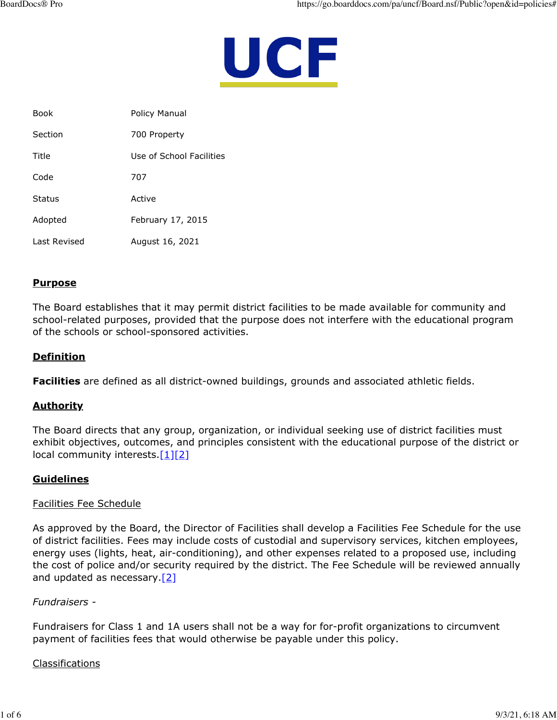

| <b>Book</b>  | Policy Manual            |
|--------------|--------------------------|
| Section      | 700 Property             |
| Title        | Use of School Facilities |
| Code         | 707                      |
| Status       | Active                   |
| Adopted      | February 17, 2015        |
| Last Revised | August 16, 2021          |

# **Purpose**

The Board establishes that it may permit district facilities to be made available for community and school-related purposes, provided that the purpose does not interfere with the educational program of the schools or school-sponsored activities.

## **Definition**

**Facilities** are defined as all district-owned buildings, grounds and associated athletic fields.

### **Authority**

The Board directs that any group, organization, or individual seeking use of district facilities must exhibit objectives, outcomes, and principles consistent with the educational purpose of the district or local community interests. $[1][2]$  $[1][2]$ 

### **Guidelines**

#### Facilities Fee Schedule

As approved by the Board, the Director of Facilities shall develop a Facilities Fee Schedule for the use of district facilities. Fees may include costs of custodial and supervisory services, kitchen employees, energy uses (lights, heat, air-conditioning), and other expenses related to a proposed use, including the cost of police and/or security required by the district. The Fee Schedule will be reviewed annually and updated as necessary. [\[2\]](http://www.legis.state.pa.us/cfdocs/legis/LI/uconsCheck.cfm?txtType=HTM&yr=1949&sessInd=0&smthLwInd=0&act=14&chpt=7&sctn=75&subsctn=0)

#### *Fundraisers -*

Fundraisers for Class 1 and 1A users shall not be a way for for-profit organizations to circumvent payment of facilities fees that would otherwise be payable under this policy.

#### Classifications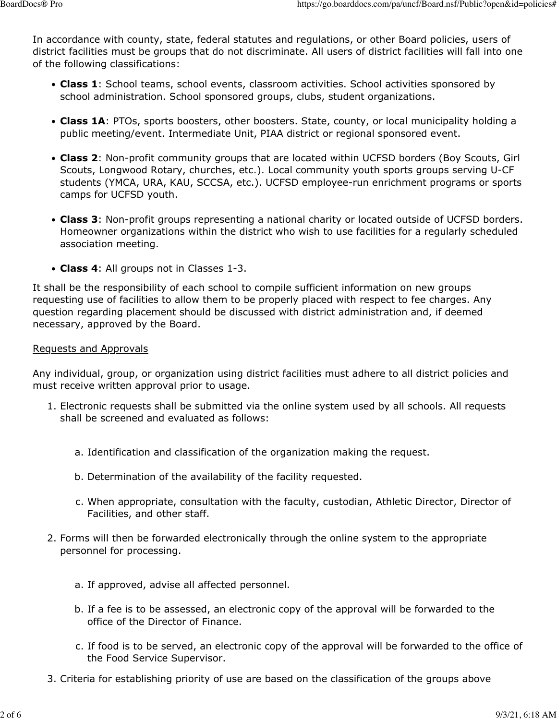In accordance with county, state, federal statutes and regulations, or other Board policies, users of district facilities must be groups that do not discriminate. All users of district facilities will fall into one of the following classifications:

- **Class 1**: School teams, school events, classroom activities. School activities sponsored by school administration. School sponsored groups, clubs, student organizations.
- **Class 1A**: PTOs, sports boosters, other boosters. State, county, or local municipality holding a public meeting/event. Intermediate Unit, PIAA district or regional sponsored event.
- **Class 2**: Non-profit community groups that are located within UCFSD borders (Boy Scouts, Girl Scouts, Longwood Rotary, churches, etc.). Local community youth sports groups serving U-CF students (YMCA, URA, KAU, SCCSA, etc.). UCFSD employee-run enrichment programs or sports camps for UCFSD youth.
- **Class 3**: Non-profit groups representing a national charity or located outside of UCFSD borders. Homeowner organizations within the district who wish to use facilities for a regularly scheduled association meeting.
- **Class 4**: All groups not in Classes 1-3.

It shall be the responsibility of each school to compile sufficient information on new groups requesting use of facilities to allow them to be properly placed with respect to fee charges. Any question regarding placement should be discussed with district administration and, if deemed necessary, approved by the Board.

### Requests and Approvals

Any individual, group, or organization using district facilities must adhere to all district policies and must receive written approval prior to usage.

- 1. Electronic requests shall be submitted via the online system used by all schools. All requests shall be screened and evaluated as follows:
	- a. Identification and classification of the organization making the request.
	- b. Determination of the availability of the facility requested.
	- c. When appropriate, consultation with the faculty, custodian, Athletic Director, Director of Facilities, and other staff.
- 2. Forms will then be forwarded electronically through the online system to the appropriate personnel for processing.
	- a. If approved, advise all affected personnel.
	- b. If a fee is to be assessed, an electronic copy of the approval will be forwarded to the office of the Director of Finance.
	- c. If food is to be served, an electronic copy of the approval will be forwarded to the office of the Food Service Supervisor.
- 3. Criteria for establishing priority of use are based on the classification of the groups above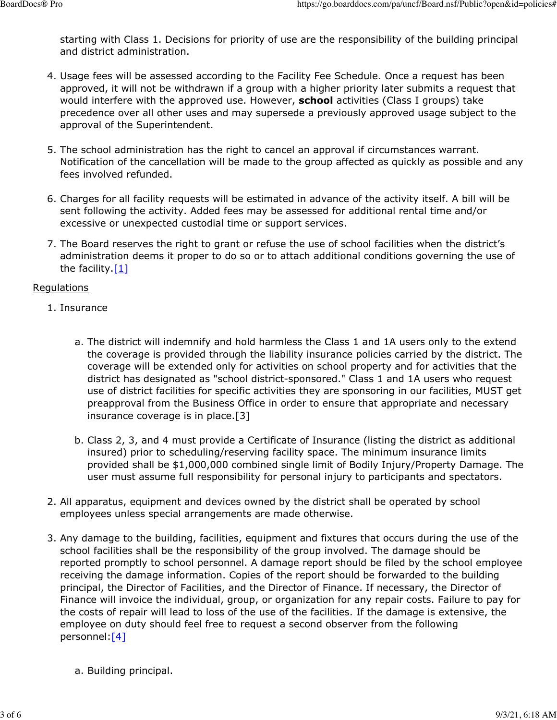starting with Class 1. Decisions for priority of use are the responsibility of the building principal and district administration.

- 4. Usage fees will be assessed according to the Facility Fee Schedule. Once a request has been approved, it will not be withdrawn if a group with a higher priority later submits a request that would interfere with the approved use. However, **school** activities (Class I groups) take precedence over all other uses and may supersede a previously approved usage subject to the approval of the Superintendent.
- 5. The school administration has the right to cancel an approval if circumstances warrant. Notification of the cancellation will be made to the group affected as quickly as possible and any fees involved refunded.
- 6. Charges for all facility requests will be estimated in advance of the activity itself. A bill will be sent following the activity. Added fees may be assessed for additional rental time and/or excessive or unexpected custodial time or support services.
- 7. The Board reserves the right to grant or refuse the use of school facilities when the district's administration deems it proper to do so or to attach additional conditions governing the use of the facility  $[1]$

### Regulations

- 1. Insurance
	- a. The district will indemnify and hold harmless the Class 1 and 1A users only to the extend the coverage is provided through the liability insurance policies carried by the district. The coverage will be extended only for activities on school property and for activities that the district has designated as "school district-sponsored." Class 1 and 1A users who request use of district facilities for specific activities they are sponsoring in our facilities, MUST get preapproval from the Business Office in order to ensure that appropriate and necessary insurance coverage is in place.[3]
	- b. Class 2, 3, and 4 must provide a Certificate of Insurance (listing the district as additional insured) prior to scheduling/reserving facility space. The minimum insurance limits provided shall be \$1,000,000 combined single limit of Bodily Injury/Property Damage. The user must assume full responsibility for personal injury to participants and spectators.
- 2. All apparatus, equipment and devices owned by the district shall be operated by school employees unless special arrangements are made otherwise.
- 3. Any damage to the building, facilities, equipment and fixtures that occurs during the use of the school facilities shall be the responsibility of the group involved. The damage should be reported promptly to school personnel. A damage report should be filed by the school employee receiving the damage information. Copies of the report should be forwarded to the building principal, the Director of Facilities, and the Director of Finance. If necessary, the Director of Finance will invoice the individual, group, or organization for any repair costs. Failure to pay for the costs of repair will lead to loss of the use of the facilities. If the damage is extensive, the employee on duty should feel free to request a second observer from the following personnel[:\[4\]](http://www.legis.state.pa.us/cfdocs/legis/LI/uconsCheck.cfm?txtType=HTM&yr=1949&sessInd=0&smthLwInd=0&act=14&chpt=7&sctn=77&subsctn=0)
	- a. Building principal.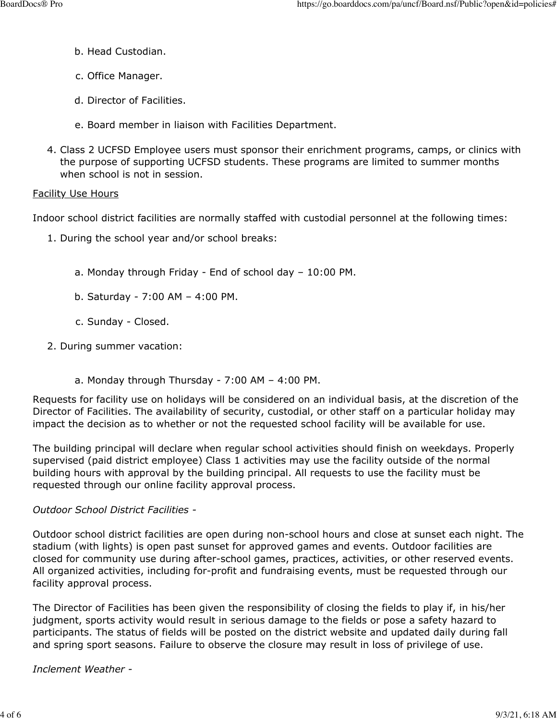- b. Head Custodian.
- c. Office Manager.
- d. Director of Facilities.
- e. Board member in liaison with Facilities Department.
- 4. Class 2 UCFSD Employee users must sponsor their enrichment programs, camps, or clinics with the purpose of supporting UCFSD students. These programs are limited to summer months when school is not in session.

### Facility Use Hours

Indoor school district facilities are normally staffed with custodial personnel at the following times:

- 1. During the school year and/or school breaks:
	- a. Monday through Friday End of school day 10:00 PM.
	- b. Saturday 7:00 AM 4:00 PM.
	- c. Sunday Closed.
- 2. During summer vacation:
	- a. Monday through Thursday 7:00 AM 4:00 PM.

Requests for facility use on holidays will be considered on an individual basis, at the discretion of the Director of Facilities. The availability of security, custodial, or other staff on a particular holiday may impact the decision as to whether or not the requested school facility will be available for use.

The building principal will declare when regular school activities should finish on weekdays. Properly supervised (paid district employee) Class 1 activities may use the facility outside of the normal building hours with approval by the building principal. All requests to use the facility must be requested through our online facility approval process.

### *Outdoor School District Facilities -*

Outdoor school district facilities are open during non-school hours and close at sunset each night. The stadium (with lights) is open past sunset for approved games and events. Outdoor facilities are closed for community use during after-school games, practices, activities, or other reserved events. All organized activities, including for-profit and fundraising events, must be requested through our facility approval process.

The Director of Facilities has been given the responsibility of closing the fields to play if, in his/her judgment, sports activity would result in serious damage to the fields or pose a safety hazard to participants. The status of fields will be posted on the district website and updated daily during fall and spring sport seasons. Failure to observe the closure may result in loss of privilege of use.

### *Inclement Weather -*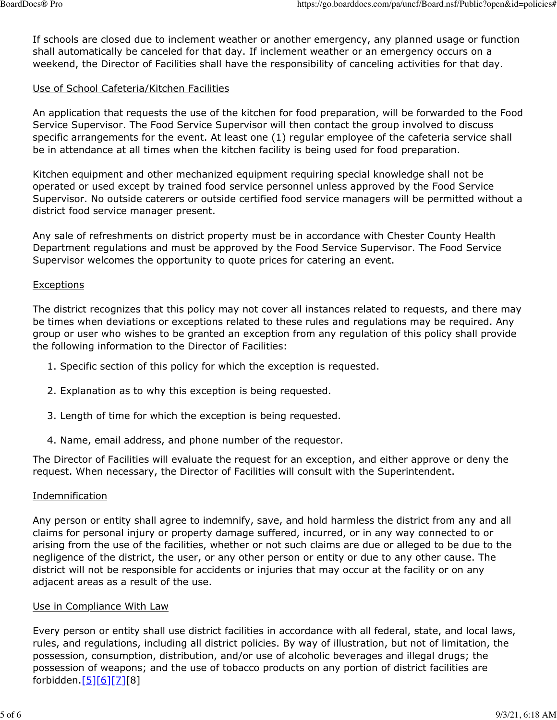If schools are closed due to inclement weather or another emergency, any planned usage or function shall automatically be canceled for that day. If inclement weather or an emergency occurs on a weekend, the Director of Facilities shall have the responsibility of canceling activities for that day.

### Use of School Cafeteria/Kitchen Facilities

An application that requests the use of the kitchen for food preparation, will be forwarded to the Food Service Supervisor. The Food Service Supervisor will then contact the group involved to discuss specific arrangements for the event. At least one (1) regular employee of the cafeteria service shall be in attendance at all times when the kitchen facility is being used for food preparation.

Kitchen equipment and other mechanized equipment requiring special knowledge shall not be operated or used except by trained food service personnel unless approved by the Food Service Supervisor. No outside caterers or outside certified food service managers will be permitted without a district food service manager present.

Any sale of refreshments on district property must be in accordance with Chester County Health Department regulations and must be approved by the Food Service Supervisor. The Food Service Supervisor welcomes the opportunity to quote prices for catering an event.

#### Exceptions

The district recognizes that this policy may not cover all instances related to requests, and there may be times when deviations or exceptions related to these rules and regulations may be required. Any group or user who wishes to be granted an exception from any regulation of this policy shall provide the following information to the Director of Facilities:

- 1. Specific section of this policy for which the exception is requested.
- 2. Explanation as to why this exception is being requested.
- 3. Length of time for which the exception is being requested.
- 4. Name, email address, and phone number of the requestor.

The Director of Facilities will evaluate the request for an exception, and either approve or deny the request. When necessary, the Director of Facilities will consult with the Superintendent.

#### Indemnification

Any person or entity shall agree to indemnify, save, and hold harmless the district from any and all claims for personal injury or property damage suffered, incurred, or in any way connected to or arising from the use of the facilities, whether or not such claims are due or alleged to be due to the negligence of the district, the user, or any other person or entity or due to any other cause. The district will not be responsible for accidents or injuries that may occur at the facility or on any adjacent areas as a result of the use.

#### Use in Compliance With Law

Every person or entity shall use district facilities in accordance with all federal, state, and local laws, rules, and regulations, including all district policies. By way of illustration, but not of limitation, the possession, consumption, distribution, and/or use of alcoholic beverages and illegal drugs; the possession of weapons; and the use of tobacco products on any portion of district facilities are forbidden.[\[5\]](http://www.legis.state.pa.us/cfdocs/legis/LI/consCheck.cfm?txtType=HTM&ttl=18&div=0&chpt=63&sctn=6&subsctn=1)[\[6\]](https://www.law.cornell.edu/uscode/text/20/7972)[\[7\]](https://www.law.cornell.edu/uscode/text/20/7973)[8]